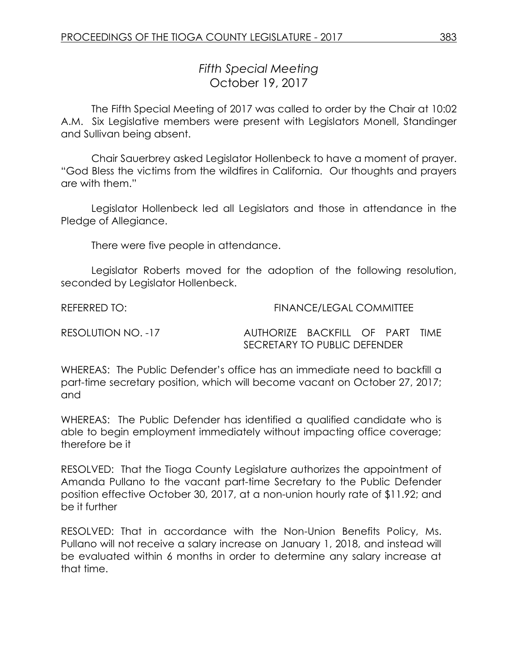## *Fifth Special Meeting* October 19, 2017

The Fifth Special Meeting of 2017 was called to order by the Chair at 10:02 A.M. Six Legislative members were present with Legislators Monell, Standinger and Sullivan being absent.

Chair Sauerbrey asked Legislator Hollenbeck to have a moment of prayer. "God Bless the victims from the wildfires in California. Our thoughts and prayers are with them."

Legislator Hollenbeck led all Legislators and those in attendance in the Pledge of Allegiance.

There were five people in attendance.

Legislator Roberts moved for the adoption of the following resolution, seconded by Legislator Hollenbeck.

REFERRED TO: THE STATE REFERRED TO: THE STATE STATE FINANCE/LEGAL COMMITTEE

RESOLUTION NO. -17 AUTHORIZE BACKFILL OF PART TIME SECRETARY TO PUBLIC DEFENDER

WHEREAS: The Public Defender's office has an immediate need to backfill a part-time secretary position, which will become vacant on October 27, 2017; and

WHEREAS: The Public Defender has identified a qualified candidate who is able to begin employment immediately without impacting office coverage; therefore be it

RESOLVED: That the Tioga County Legislature authorizes the appointment of Amanda Pullano to the vacant part-time Secretary to the Public Defender position effective October 30, 2017, at a non-union hourly rate of \$11.92; and be it further

RESOLVED: That in accordance with the Non-Union Benefits Policy, Ms. Pullano will not receive a salary increase on January 1, 2018, and instead will be evaluated within 6 months in order to determine any salary increase at that time.